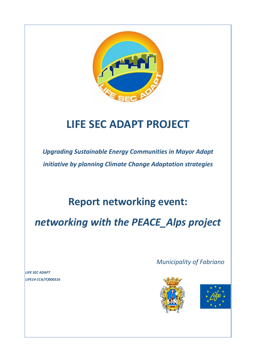

# **LIFE SEC ADAPT PROJECT**

*Upgrading Sustainable Energy Communities in Mayor Adapt initiative by planning Climate Change Adaptation strategies*

## **Report networking event:**

*networking with the PEACE\_Alps project*

*Municipality of Fabriano*





*LIFE SEC ADAPT LIFE14 CCA/IT/000316*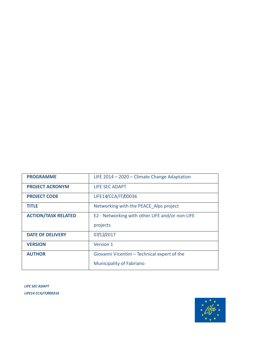| <b>PROGRAMME</b>           | LIFE 2014 - 2020 - Climate Change Adaptation    |
|----------------------------|-------------------------------------------------|
| <b>PROJECT ACRONYM</b>     | LIFE SEC ADAPT                                  |
| <b>PROJECT CODE</b>        | LIFE14/CCA/IT/00036                             |
| <b>TITLE</b>               | Networking with the PEACE Alps project          |
| <b>ACTION/TASK RELATED</b> | E2 - Networking with other LIFE and/or non-LIFE |
|                            | projects                                        |
| <b>DATE OF DELIVERY</b>    | 07/12/2017                                      |
| <b>VERSION</b>             | Version 1                                       |
| <b>AUTHOR</b>              | Giovanni Vicentini - Technical expert of the    |
|                            | <b>Municipality of Fabriano</b>                 |

*LIFE SEC ADAPT LIFE14 CCA/IT/000316*

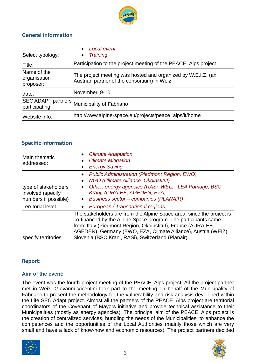

### **General information**

| Select typology:                         | Local event<br>$\bullet$<br><b>Training</b><br>$\bullet$                                                    |
|------------------------------------------|-------------------------------------------------------------------------------------------------------------|
| Title:                                   | Participation to the project meeting of the PEACE_Alps project                                              |
| Name of the<br>organisation<br>proposer: | The project meeting was hosted and organized by W.E.I.Z. (an<br>Austrian partner of the consortium) in Weiz |
| date:                                    | November, 9-10                                                                                              |
| participating                            | SEC ADAPT partners Municipality of Fabriano                                                                 |
| Website info:                            | http://www.alpine-space.eu/projects/peace_alps/it/home                                                      |

#### **Specific information**

| Main thematic<br>addressed:                                       | <b>Climate Adaptation</b><br>$\bullet$<br><b>Climate Mitigation</b><br>$\bullet$<br><b>Energy Saving</b><br>$\bullet$                                                                                                                                                                                                          |  |
|-------------------------------------------------------------------|--------------------------------------------------------------------------------------------------------------------------------------------------------------------------------------------------------------------------------------------------------------------------------------------------------------------------------|--|
| type of stakeholders<br>involved (specify<br>numbers if possible) | Public Administration (Piedmont Region, EWO)<br>$\bullet$<br>NGO (Climate Alliance, Okoinstitut)<br>$\bullet$<br>Other: energy agencies (RASi, WEIZ, LEA Pomurje, BSC<br>$\bullet$<br>Kranj, AURA-EE, AGEDEN, EZA,<br><b>Business sector - companies (PLANAIR)</b><br>$\bullet$                                                |  |
| Territorial level                                                 | European / Transnational regions<br>$\bullet$                                                                                                                                                                                                                                                                                  |  |
| specify territories                                               | The stakeholders are from the Alpine Space area, since the project is<br>co-financed by the Alpine Space program. The participants came<br>from: Italy (Piedmont Region, Okoinstitut), France (AURA-EE,<br>AGEDEN), Germany (EWO, EZA, Climate Alliance), Austria (WEIZ),<br>Slovenja (BSC Kranj, RASi), Switzerland (Planair) |  |

#### **Report:**

#### **Aim of the event:**

The event was the fourth project meeting of the PEACE\_Alps project. All the project partner met in Weiz. Giovanni Vicentini took part to the meeting on behalf of the Municipality of Fabriano to present the methodology for the vulnerability and risk analysis developed within the Life SEC Adapt project. Almost all the partners of the PEACE\_Alps project are territorial coordinators of the Covenant of Mayors initiative and provide technical assistance to their Municipalities (mostly as energy agencies). The principal aim of the PEACE\_Alps project is the creation of centralized services, bundling the needs of the Municipalities, to enhance the competences and the opportunities of the Local Authorities (mainly those which are very small and have a lack of know-how and economic resources). The project partners decided



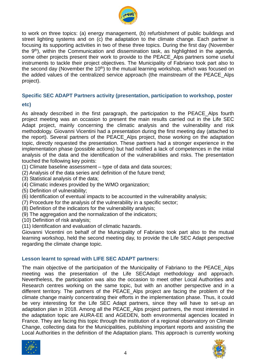

to work on three topics: (a) energy management, (b) refurbishment of public buildings and street lighting systems and on (c) the adaptation to the climate change. Each partner is focusing its supporting activities in two of these three topics. During the first day (November the 9<sup>th</sup>), within the Communication and dissemination task, as highlighted in the agenda, some other projects present their work to provide to the PEACE Alps partners some useful instruments to tackle their project objectives. The Municipality of Fabriano took part also to the second day (November the  $10<sup>th</sup>$ ) to the mutual learning workshop, which was focused on the added values of the centralized service approach (the mainstream of the PEACE\_Alps project).

#### **Specific SEC ADAPT Partners activity (presentation, participation to workshop, poster**

#### **etc)**

As already described in the first paragraph, the participation to the PEACE Alps fourth project meeting was an occasion to present the main results carried out in the Life SEC Adapt project, mainly concerning the climatic analysis and the vulnerability and risk methodology. Giovanni Vicentini had a presentation during the first meeting day (attached to the report). Several partners of the PEACE\_Alps project, those working on the adaptation topic, directly requested the presentation. These partners had a stronger experience in the implementation phase (possible actions) but had notified a lack of competences in the initial analysis of the data and the identification of the vulnerabilities and risks. The presentation touched the following key points:

- (1) Climate baseline assessment type of data and data sources;
- (2) Analysis of the data series and definition of the future trend;
- (3) Statistical analysis of the data;
- (4) Climatic indexes provided by the WMO organization;
- (5) Definition of vulnerability;
- (6) Identification of eventual impacts to be accounted in the vulnerability analysis;
- (7) Procedure for the analysis of the vulnerability in a specific sector;
- (8) Definition of the indicators for the vulnerability analysis;
- (9) The aggregation and the normalization of the indicators;
- (10) Definition of risk analysis;
- (11) Identification and evaluation of climatic hazards.

Giovanni Vicentini on behalf of the Municipality of Fabriano took part also to the mutual learning workshop, held the second meeting day, to provide the Life SEC Adapt perspective regarding the climate change topic.

#### **Lesson learnt to spread with LIFE SEC ADAPT partners:**

The main objective of the participation of the Municipality of Fabriano to the PEACE\_Alps meeting was the presentation of the Life SECAdapt methodology and approach. Nevertheless, the participation was also the occasion to meet other Local Authorities and Research centres working on the same topic, but with an another perspective and in a different territory. The partners of the PEACE\_Alps project are facing the problem of the climate change mainly concentrating their efforts in the implementation phase. Thus, it could be very interesting for the Life SEC Adapt partners, since they will have to set-up an adaptation plan in 2018. Among all the PEACE\_Alps project partners, the most interested in the adaptation topic are AURA-EE and AGEDEN, both environmental agencies located in France. They are facing this topic through the institution of a regional observatory on Climate Change, collecting data for the Municipalities, publishing important reports and assisting the Local Authorities in the definition of the Adaptation plans. This approach is currently working



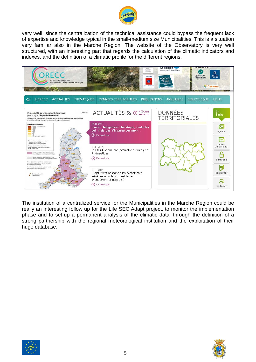

very well, since the centralization of the technical assistance could bypass the frequent lack of expertise and knowledge typical in the small-medium size Municipalities. This is a situation very familiar also in the Marche Region. The website of the Observatory is very well structured, with an interesting part that regards the calculation of the climatic indicators and indexes, and the definition of a climatic profile for the different regions.



The institution of a centralized service for the Municipalities in the Marche Region could be really an interesting follow up for the Life SEC Adapt project, to monitor the implementation phase and to set-up a permanent analysis of the climatic data, through the definition of a strong partnership with the regional meteorological institution and the exploitation of their huge database.